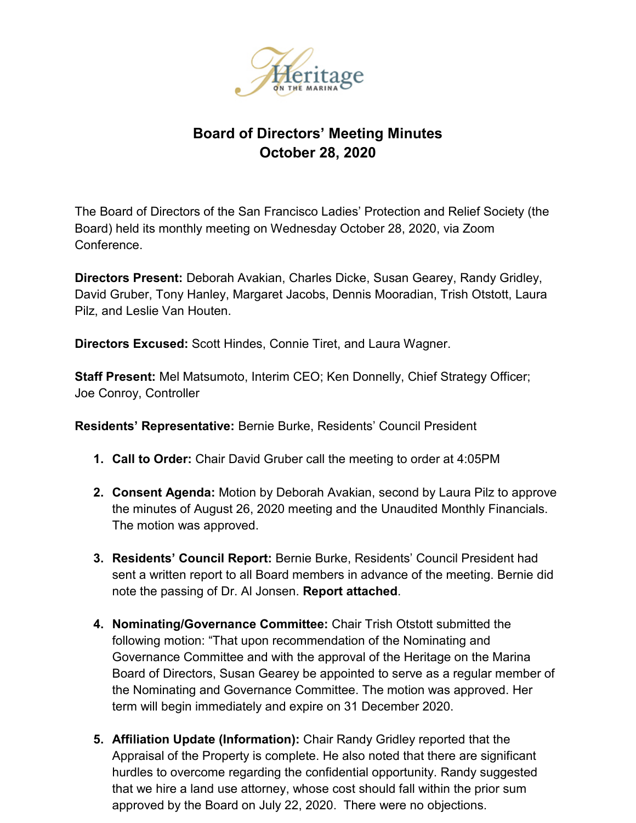

## **Board of Directors' Meeting Minutes October 28, 2020**

The Board of Directors of the San Francisco Ladies' Protection and Relief Society (the Board) held its monthly meeting on Wednesday October 28, 2020, via Zoom Conference.

**Directors Present:** Deborah Avakian, Charles Dicke, Susan Gearey, Randy Gridley, David Gruber, Tony Hanley, Margaret Jacobs, Dennis Mooradian, Trish Otstott, Laura Pilz, and Leslie Van Houten.

**Directors Excused:** Scott Hindes, Connie Tiret, and Laura Wagner.

**Staff Present:** Mel Matsumoto, Interim CEO; Ken Donnelly, Chief Strategy Officer; Joe Conroy, Controller

**Residents' Representative:** Bernie Burke, Residents' Council President

- **1. Call to Order:** Chair David Gruber call the meeting to order at 4:05PM
- **2. Consent Agenda:** Motion by Deborah Avakian, second by Laura Pilz to approve the minutes of August 26, 2020 meeting and the Unaudited Monthly Financials. The motion was approved.
- **3. Residents' Council Report:** Bernie Burke, Residents' Council President had sent a written report to all Board members in advance of the meeting. Bernie did note the passing of Dr. Al Jonsen. **Report attached**.
- **4. Nominating/Governance Committee:** Chair Trish Otstott submitted the following motion: "That upon recommendation of the Nominating and Governance Committee and with the approval of the Heritage on the Marina Board of Directors, Susan Gearey be appointed to serve as a regular member of the Nominating and Governance Committee. The motion was approved. Her term will begin immediately and expire on 31 December 2020.
- **5. Affiliation Update (Information):** Chair Randy Gridley reported that the Appraisal of the Property is complete. He also noted that there are significant hurdles to overcome regarding the confidential opportunity. Randy suggested that we hire a land use attorney, whose cost should fall within the prior sum approved by the Board on July 22, 2020. There were no objections.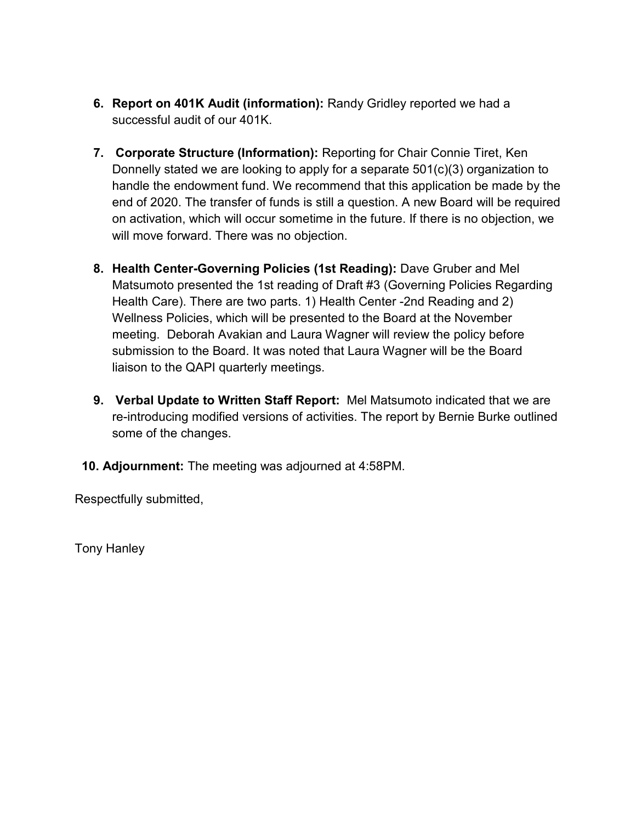- **6. Report on 401K Audit (information):** Randy Gridley reported we had a successful audit of our 401K.
- **7. Corporate Structure (Information):** Reporting for Chair Connie Tiret, Ken Donnelly stated we are looking to apply for a separate 501(c)(3) organization to handle the endowment fund. We recommend that this application be made by the end of 2020. The transfer of funds is still a question. A new Board will be required on activation, which will occur sometime in the future. If there is no objection, we will move forward. There was no objection.
- **8. Health Center-Governing Policies (1st Reading):** Dave Gruber and Mel Matsumoto presented the 1st reading of Draft #3 (Governing Policies Regarding Health Care). There are two parts. 1) Health Center -2nd Reading and 2) Wellness Policies, which will be presented to the Board at the November meeting. Deborah Avakian and Laura Wagner will review the policy before submission to the Board. It was noted that Laura Wagner will be the Board liaison to the QAPI quarterly meetings.
- **9. Verbal Update to Written Staff Report:** Mel Matsumoto indicated that we are re-introducing modified versions of activities. The report by Bernie Burke outlined some of the changes.
- **10. Adjournment:** The meeting was adjourned at 4:58PM.

Respectfully submitted,

Tony Hanley